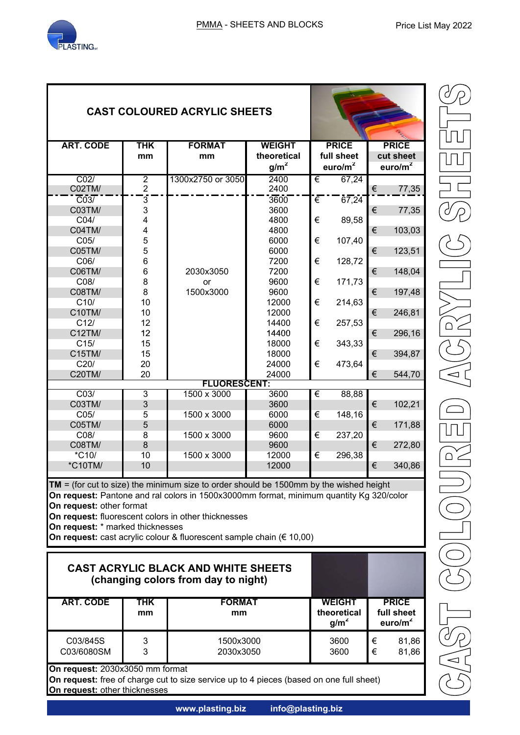

| <b>CAST COLOURED ACRYLIC SHEETS</b>                                                                                                                                                                                                                                                                                                                                                          |                  |                                                                                   |                  |                                                  |                                           |
|----------------------------------------------------------------------------------------------------------------------------------------------------------------------------------------------------------------------------------------------------------------------------------------------------------------------------------------------------------------------------------------------|------------------|-----------------------------------------------------------------------------------|------------------|--------------------------------------------------|-------------------------------------------|
| <b>ART. CODE</b>                                                                                                                                                                                                                                                                                                                                                                             | <b>THK</b>       | <b>FORMAT</b>                                                                     | <b>WEIGHT</b>    | <b>PRICE</b>                                     | <b>PRICE</b>                              |
|                                                                                                                                                                                                                                                                                                                                                                                              | mm               | mm                                                                                | theoretical      | full sheet                                       | cut sheet                                 |
|                                                                                                                                                                                                                                                                                                                                                                                              |                  |                                                                                   | g/m <sup>2</sup> | euro/ $m2$                                       | euro/ $m2$                                |
| CO <sub>2</sub>                                                                                                                                                                                                                                                                                                                                                                              | 2                | 1300x2750 or 3050                                                                 | 2400             | 67,24<br>€                                       |                                           |
| C02TM/                                                                                                                                                                                                                                                                                                                                                                                       | $\overline{2}$   |                                                                                   | 2400             |                                                  | €<br>77,35                                |
| $\overline{C}03$                                                                                                                                                                                                                                                                                                                                                                             | 3                |                                                                                   | 3600             | €<br>67,24                                       |                                           |
| C03TM/                                                                                                                                                                                                                                                                                                                                                                                       | 3                |                                                                                   | 3600             |                                                  | €<br>77,35                                |
| CO4/                                                                                                                                                                                                                                                                                                                                                                                         | 4                |                                                                                   | 4800             | €<br>89,58                                       |                                           |
| <b>C04TM/</b>                                                                                                                                                                                                                                                                                                                                                                                | 4                |                                                                                   | 4800             |                                                  | €<br>103,03                               |
| CO <sub>5</sub> /                                                                                                                                                                                                                                                                                                                                                                            | 5                |                                                                                   | 6000             | €<br>107,40                                      |                                           |
| C05TM/                                                                                                                                                                                                                                                                                                                                                                                       | 5                |                                                                                   | 6000             |                                                  | €<br>123,51                               |
| C06/                                                                                                                                                                                                                                                                                                                                                                                         | 6                |                                                                                   | 7200             | €<br>128,72                                      |                                           |
| C06TM/                                                                                                                                                                                                                                                                                                                                                                                       | 6                | 2030x3050                                                                         | 7200             |                                                  | €<br>148,04                               |
| C08/                                                                                                                                                                                                                                                                                                                                                                                         | 8                | or                                                                                | 9600             | €<br>171,73                                      |                                           |
| C08TM/                                                                                                                                                                                                                                                                                                                                                                                       | 8                | 1500x3000                                                                         | 9600             |                                                  | €<br>197,48                               |
| C10/                                                                                                                                                                                                                                                                                                                                                                                         | 10               |                                                                                   | 12000            | €                                                |                                           |
| C10TM/                                                                                                                                                                                                                                                                                                                                                                                       | 10               |                                                                                   | 12000            | 214,63                                           | €                                         |
| C12/                                                                                                                                                                                                                                                                                                                                                                                         | 12               |                                                                                   | 14400            | €                                                | 246,81                                    |
|                                                                                                                                                                                                                                                                                                                                                                                              |                  |                                                                                   |                  | 257,53                                           |                                           |
| C12TM/                                                                                                                                                                                                                                                                                                                                                                                       | 12               |                                                                                   | 14400            |                                                  | €<br>296,16                               |
| C15/                                                                                                                                                                                                                                                                                                                                                                                         | 15               |                                                                                   | 18000            | €<br>343,33                                      |                                           |
| C15TM/                                                                                                                                                                                                                                                                                                                                                                                       | 15               |                                                                                   | 18000            |                                                  | €<br>394,87                               |
| C20/                                                                                                                                                                                                                                                                                                                                                                                         | 20               |                                                                                   | 24000            | €<br>473,64                                      |                                           |
| C20TM/                                                                                                                                                                                                                                                                                                                                                                                       | 20               |                                                                                   | 24000            |                                                  | €<br>544,70                               |
|                                                                                                                                                                                                                                                                                                                                                                                              |                  | <b>FLUORESCENT:</b>                                                               |                  |                                                  |                                           |
| CO <sub>3</sub>                                                                                                                                                                                                                                                                                                                                                                              | $\overline{3}$   | 1500 x 3000                                                                       | 3600             | €<br>88,88                                       |                                           |
| C03TM/                                                                                                                                                                                                                                                                                                                                                                                       | 3                |                                                                                   | 3600             |                                                  | €<br>102,21                               |
| CO <sub>5</sub>                                                                                                                                                                                                                                                                                                                                                                              | 5                | 1500 x 3000                                                                       | 6000             | €<br>148,16                                      |                                           |
| C05TM/                                                                                                                                                                                                                                                                                                                                                                                       | 5                |                                                                                   | 6000             |                                                  | €<br>171,88                               |
| C08/                                                                                                                                                                                                                                                                                                                                                                                         | 8                | 1500 x 3000                                                                       | 9600             | €<br>237,20                                      |                                           |
| C08TM/                                                                                                                                                                                                                                                                                                                                                                                       | 8                |                                                                                   | 9600             |                                                  | €<br>272,80                               |
| *C <sub>10</sub> /                                                                                                                                                                                                                                                                                                                                                                           | 10               | 1500 x 3000                                                                       | 12000            | 296,38<br>€                                      |                                           |
| *C10TM/                                                                                                                                                                                                                                                                                                                                                                                      | 10               |                                                                                   | 12000            |                                                  | €<br>340,86                               |
|                                                                                                                                                                                                                                                                                                                                                                                              |                  |                                                                                   |                  |                                                  |                                           |
| <b>TM</b> = (for cut to size) the minimum size to order should be 1500mm by the wished height<br>On request: Pantone and ral colors in 1500x3000mm format, minimum quantity Kg 320/color<br>On request: other format<br>On request: fluorescent colors in other thicknesses<br>On request: * marked thicknesses<br>On request: cast acrylic colour & fluorescent sample chain ( $\in$ 10,00) |                  |                                                                                   |                  |                                                  |                                           |
|                                                                                                                                                                                                                                                                                                                                                                                              |                  | <b>CAST ACRYLIC BLACK AND WHITE SHEETS</b><br>(changing colors from day to night) |                  |                                                  |                                           |
| <b>ART. CODE</b>                                                                                                                                                                                                                                                                                                                                                                             | <b>THK</b><br>mm | <b>FORMAT</b><br>mm                                                               |                  | <b>WEIGHT</b><br>theoretical<br>g/m <sup>2</sup> | <b>PRICE</b><br>full sheet<br>euro/ $m^2$ |
| C03/845S<br>C03/6080SM                                                                                                                                                                                                                                                                                                                                                                       | 3<br>3           | 1500x3000<br>2030x3050                                                            |                  | 3600<br>3600                                     | €<br>81,86<br>€<br>81,86                  |
| On request: 2030x3050 mm format                                                                                                                                                                                                                                                                                                                                                              |                  |                                                                                   |                  |                                                  |                                           |

**On request:** other thicknesses

**On request:** free of charge cut to size service up to 4 pieces (based on one full sheet)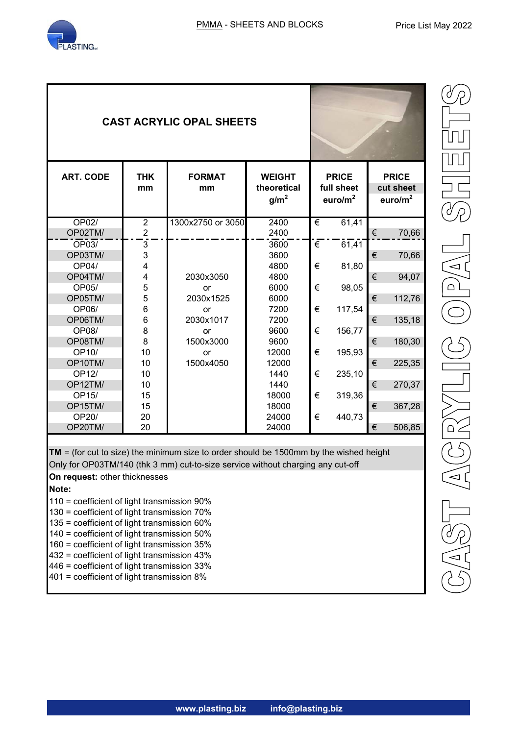

| <b>CAST ACRYLIC OPAL SHEETS</b> |                                  |                     |                                                  |   |                                          |   |                                         |
|---------------------------------|----------------------------------|---------------------|--------------------------------------------------|---|------------------------------------------|---|-----------------------------------------|
| <b>ART. CODE</b>                | <b>THK</b><br>mm                 | <b>FORMAT</b><br>mm | <b>WEIGHT</b><br>theoretical<br>g/m <sup>2</sup> |   | <b>PRICE</b><br>full sheet<br>euro/ $m2$ |   | <b>PRICE</b><br>cut sheet<br>euro/ $m2$ |
| OP02/                           | $\overline{2}$<br>$\overline{2}$ | 1300x2750 or 3050   | 2400                                             | € | 61,41                                    |   |                                         |
| OP02TM/                         |                                  |                     | 2400                                             |   |                                          | € | 70,66                                   |
| OP03/<br>OP03TM/                | $\overline{3}$<br>3              |                     | 3600<br>3600                                     | € | 61,41                                    | € |                                         |
| OP04/                           | $\overline{\mathbf{4}}$          |                     | 4800                                             | € | 81,80                                    |   | 70,66                                   |
| OP04TM/                         | 4                                | 2030x3050           | 4800                                             |   |                                          | € | 94,07                                   |
| OP05/                           | 5                                | or                  | 6000                                             | € | 98,05                                    |   |                                         |
| OP05TM/                         | 5                                | 2030x1525           | 6000                                             |   |                                          | € | 112,76                                  |
| OP06/                           | $6\phantom{1}$                   | or                  | 7200                                             | € | 117,54                                   |   |                                         |
| OP06TM/                         | $6\phantom{1}6$                  | 2030x1017           | 7200                                             |   |                                          | € | 135,18                                  |
| OP08/                           | 8                                | or                  | 9600                                             | € | 156,77                                   |   |                                         |
| OP08TM/                         | 8                                | 1500x3000           | 9600                                             |   |                                          | € | 180,30                                  |
| OP10/                           | 10                               | or                  | 12000                                            | € | 195,93                                   |   |                                         |
| OP10TM/                         | 10                               | 1500x4050           | 12000                                            |   |                                          | € | 225,35                                  |
| OP12/                           | 10                               |                     | 1440                                             | € | 235,10                                   |   |                                         |
| OP12TM/                         | 10                               |                     | 1440                                             |   |                                          | € | 270,37                                  |
| OP15/                           | 15                               |                     | 18000                                            | € | 319,36                                   |   |                                         |
| OP15TM/                         | 15                               |                     | 18000                                            |   |                                          | € | 367,28                                  |
| OP20/                           | 20                               |                     | 24000                                            | € | 440,73                                   |   |                                         |
| OP20TM/                         | 20                               |                     | 24000                                            |   |                                          | € | 506,85                                  |

 $\binom{1}{0}$  $\frac{1}{\sqrt{2}}$  $\sqrt{\frac{A}{C}}$ 

**TM** = (for cut to size) the minimum size to order should be 1500mm by the wished height Only for OP03TM/140 (thk 3 mm) cut-to-size service without charging any cut-off

**On request:** other thicknesses

**Note:**

- 110 = coefficient of light transmission 90%
- 130 = coefficient of light transmission 70%
- 135 = coefficient of light transmission 60%
- 140 = coefficient of light transmission 50%
- 160 = coefficient of light transmission 35%
- 432 = coefficient of light transmission 43%
- 446 = coefficient of light transmission 33%
- 401 = coefficient of light transmission 8%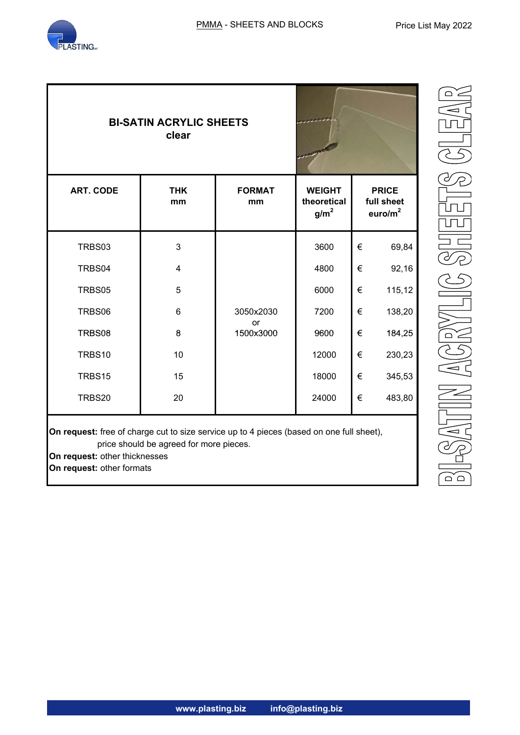

**On request:** other formats

|                  | <b>BI-SATIN ACRYLIC SHEETS</b><br>clear |                     |                                                  |   |                                          |
|------------------|-----------------------------------------|---------------------|--------------------------------------------------|---|------------------------------------------|
| <b>ART. CODE</b> | <b>THK</b><br>mm                        | <b>FORMAT</b><br>mm | <b>WEIGHT</b><br>theoretical<br>g/m <sup>2</sup> |   | <b>PRICE</b><br>full sheet<br>euro/ $m2$ |
| TRBS03           | 3                                       |                     | 3600                                             | € | 69,84                                    |
| TRBS04           | 4                                       |                     | 4800                                             | € | 92,16                                    |
| TRBS05           | 5                                       |                     | 6000                                             | € | 115,12                                   |
| TRBS06           | $6\phantom{1}$                          | 3050x2030           | 7200                                             | € | 138,20                                   |
| TRBS08           | 8                                       | or<br>1500x3000     | 9600                                             | € | 184,25                                   |
| TRBS10           | 10                                      |                     | 12000                                            | € | 230,23                                   |
| TRBS15           | 15                                      |                     | 18000                                            | € | 345,53                                   |
|                  | 20                                      |                     | 24000                                            | € | 483,80                                   |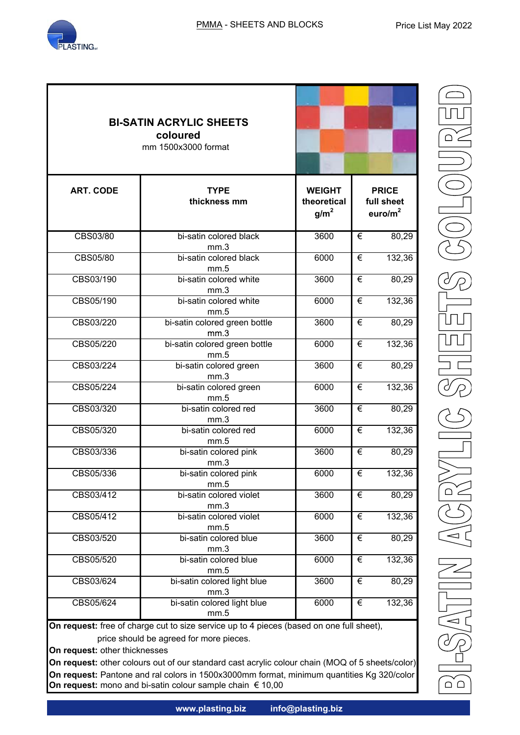

|                  | <b>BI-SATIN ACRYLIC SHEETS</b><br>coloured<br>mm 1500x3000 format |                                                  |                                                   |
|------------------|-------------------------------------------------------------------|--------------------------------------------------|---------------------------------------------------|
| <b>ART. CODE</b> | <b>TYPE</b><br>thickness mm                                       | <b>WEIGHT</b><br>theoretical<br>g/m <sup>2</sup> | <b>PRICE</b><br>full sheet<br>euro/m <sup>2</sup> |
| CBS03/80         | bi-satin colored black                                            | 3600                                             | €<br>80,29                                        |
| CBS05/80         | mm.3<br>bi-satin colored black<br>mm.5                            | 6000                                             | €<br>132,36                                       |
| CBS03/190        | bi-satin colored white<br>$\overline{36}00$<br>mm.3               |                                                  | $\overline{\epsilon}$<br>80,29                    |
| CBS05/190        | bi-satin colored white<br>6000<br>mm.5                            |                                                  | €<br>132,36                                       |
| CBS03/220        | bi-satin colored green bottle<br>3600<br>mm.3                     |                                                  | €<br>80,29                                        |
| CBS05/220        | bi-satin colored green bottle<br>6000<br>mm.5                     |                                                  | €<br>132,36                                       |
| CBS03/224        | bi-satin colored green<br>3600<br>mm.3                            |                                                  | €<br>80,29                                        |
| CBS05/224        | bi-satin colored green<br>mm.5                                    | 6000                                             | €<br>132,36                                       |
| CBS03/320        | bi-satin colored red<br>mm.3                                      | 3600                                             | €<br>80,29                                        |
| CBS05/320        | bi-satin colored red<br>mm.5                                      | 6000                                             | €<br>132,36                                       |
| CBS03/336        | bi-satin colored pink<br>mm.3                                     | 3600                                             | €<br>80,29                                        |
| CBS05/336        | bi-satin colored pink<br>mm.5                                     | 6000                                             | €<br>132,36                                       |
| CBS03/412        | bi-satin colored violet<br>mm.3                                   | 3600                                             | $\overline{\epsilon}$<br>80,29                    |
| CBS05/412        | bi-satin colored violet<br>mm.5                                   | 6000                                             | $\overline{\epsilon}$<br>132,36                   |
| CBS03/520        | bi-satin colored blue<br>mm.3                                     | 3600                                             | €<br>80,29                                        |
| CBS05/520        | bi-satin colored blue<br>mm.5                                     | 6000                                             | €<br>132,36                                       |
| CBS03/624        | bi-satin colored light blue<br>mm.3                               | 3600                                             | €<br>80,29                                        |
| CBS05/624        | bi-satin colored light blue<br>mm.5                               | 6000                                             | $\overline{\epsilon}$<br>132,36                   |

**On request:** free of charge cut to size service up to 4 pieces (based on one full sheet), price should be agreed for more pieces.

**On request:** other thicknesses

**On request:** other colours out of our standard cast acrylic colour chain (MOQ of 5 sheets/color) **On request:** Pantone and ral colors in 1500x3000mm format, minimum quantities Kg 320/color **On request:** mono and bi-satin colour sample chain € 10,00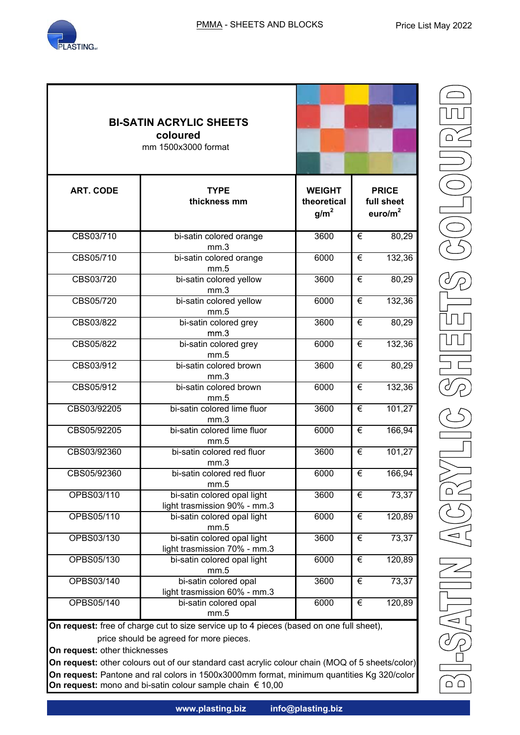

|                  | <b>BI-SATIN ACRYLIC SHEETS</b><br>coloured<br>mm 1500x3000 format               |      |                                           |
|------------------|---------------------------------------------------------------------------------|------|-------------------------------------------|
| <b>ART. CODE</b> | <b>TYPE</b><br><b>WEIGHT</b><br>thickness mm<br>theoretical<br>g/m <sup>2</sup> |      | <b>PRICE</b><br>full sheet<br>euro/ $m^2$ |
| CBS03/710        | bi-satin colored orange                                                         | 3600 | 80,29<br>€                                |
| CBS05/710        | mm.3<br>bi-satin colored orange<br>mm.5                                         | 6000 | €<br>132,36                               |
| CBS03/720        | bi-satin colored yellow<br>3600<br>mm.3                                         |      | €<br>80,29                                |
| CBS05/720        | bi-satin colored yellow<br>6000<br>mm.5                                         |      | €<br>132,36                               |
| CBS03/822        | bi-satin colored grey<br>3600<br>mm.3                                           |      | €<br>80,29                                |
| CBS05/822        | bi-satin colored grey<br>6000<br>mm.5                                           |      | €<br>132,36                               |
| CBS03/912        | bi-satin colored brown<br>3600<br>mm.3                                          |      | €<br>80,29                                |
| CBS05/912        | bi-satin colored brown<br>mm.5                                                  | 6000 | 132,36<br>€                               |
| CBS03/92205      | bi-satin colored lime fluor<br>mm.3                                             | 3600 | 101,27<br>€                               |
| CBS05/92205      | bi-satin colored lime fluor<br>mm.5                                             | 6000 | 166,94<br>€                               |
| CBS03/92360      | bi-satin colored red fluor<br>mm.3                                              | 3600 | €<br>101,27                               |
| CBS05/92360      | bi-satin colored red fluor<br>mm.5                                              | 6000 | 166,94<br>€                               |
| OPBS03/110       | bi-satin colored opal light<br>light trasmission 90% - mm.3                     | 3600 | 73,37<br>€                                |
| OPBS05/110       | bi-satin colored opal light<br>mm.5                                             | 6000 | 120,89<br>€                               |
| OPBS03/130       | bi-satin colored opal light<br>light trasmission 70% - mm.3                     | 3600 | 73,37<br>€                                |
| OPBS05/130       | bi-satin colored opal light<br>mm.5                                             | 6000 | €<br>120,89                               |
| OPBS03/140       | bi-satin colored opal<br>light trasmission 60% - mm.3                           | 3600 | €<br>73,37                                |
| OPBS05/140       | bi-satin colored opal<br>mm.5                                                   | 6000 | $\overline{\epsilon}$<br>120,89           |

**On request:** free of charge cut to size service up to 4 pieces (based on one full sheet), price should be agreed for more pieces.

**On request:** other thicknesses

**On request:** other colours out of our standard cast acrylic colour chain (MOQ of 5 sheets/color) **On request:** Pantone and ral colors in 1500x3000mm format, minimum quantities Kg 320/color **On request:** mono and bi-satin colour sample chain € 10,00

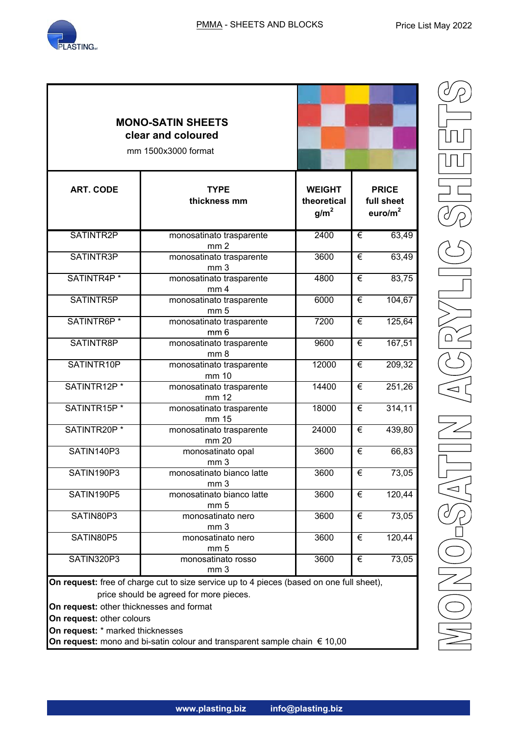|                                                                                                           | <b>MONO-SATIN SHEETS</b><br>clear and coloured<br>mm 1500x3000 format                                                               |                                          |             |
|-----------------------------------------------------------------------------------------------------------|-------------------------------------------------------------------------------------------------------------------------------------|------------------------------------------|-------------|
| <b>ART. CODE</b>                                                                                          | <b>TYPE</b><br>thickness mm                                                                                                         | <b>PRICE</b><br>full sheet<br>euro/ $m2$ |             |
| SATINTR2P                                                                                                 | monosatinato trasparente<br>mm <sub>2</sub>                                                                                         | 2400                                     | 63,49<br>€  |
| SATINTR3P                                                                                                 | monosatinato trasparente<br>mm <sub>3</sub>                                                                                         | 3600                                     | 63,49<br>€  |
| SATINTR4P <sup>*</sup>                                                                                    | monosatinato trasparente<br>mm <sub>4</sub>                                                                                         | 4800                                     |             |
| SATINTR5P                                                                                                 | monosatinato trasparente<br>mm <sub>5</sub>                                                                                         | 6000                                     | €<br>104,67 |
| SATINTR6P <sup>*</sup>                                                                                    | monosatinato trasparente<br>mm <sub>6</sub>                                                                                         | 7200                                     | €<br>125,64 |
| SATINTR8P                                                                                                 | monosatinato trasparente<br>mm <sub>8</sub>                                                                                         | 9600                                     |             |
| SATINTR10P                                                                                                | 12000<br>monosatinato trasparente<br>mm 10                                                                                          |                                          | €<br>209,32 |
| SATINTR12P*                                                                                               | monosatinato trasparente<br>mm 12                                                                                                   | 14400                                    |             |
| SATINTR15P*                                                                                               | monosatinato trasparente<br>mm 15                                                                                                   | 18000                                    | 314,11<br>€ |
| SATINTR20P*                                                                                               | monosatinato trasparente<br>mm 20                                                                                                   | 24000                                    | €<br>439,80 |
| SATIN140P3                                                                                                | monosatinato opal<br>mm <sub>3</sub>                                                                                                | 3600                                     | €<br>66,83  |
| SATIN190P3                                                                                                | monosatinato bianco latte<br>mm <sub>3</sub>                                                                                        | 3600                                     | €<br>73,05  |
| SATIN190P5                                                                                                | monosatinato bianco latte<br>mm <sub>5</sub>                                                                                        | 3600                                     | 120,44<br>€ |
| SATIN80P3                                                                                                 | monosatinato nero<br>mm <sub>3</sub>                                                                                                | 3600                                     | €<br>73,05  |
| SATIN80P5                                                                                                 | monosatinato nero<br>mm <sub>5</sub>                                                                                                | 3600                                     | €<br>120,44 |
| SATIN320P3                                                                                                | monosatinato rosso<br>mm <sub>3</sub>                                                                                               | 3600                                     | €<br>73,05  |
| On request: other thicknesses and format<br>On request: other colours<br>On request: * marked thicknesses | On request: free of charge cut to size service up to 4 pieces (based on one full sheet),<br>price should be agreed for more pieces. |                                          |             |

**On request:** mono and bi-satin colour and transparent sample chain € 10,00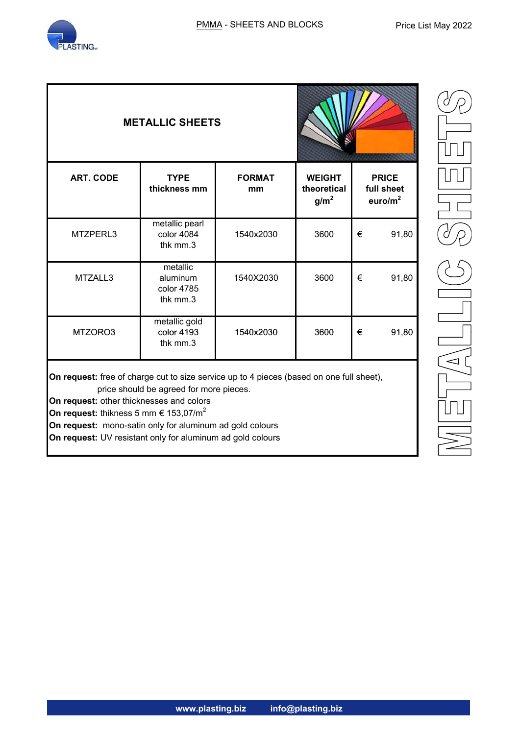

| <b>METALLIC SHEETS</b> |                                                |                     |                                                  |                                                   |
|------------------------|------------------------------------------------|---------------------|--------------------------------------------------|---------------------------------------------------|
| <b>ART. CODE</b>       | <b>TYPE</b><br>thickness mm                    | <b>FORMAT</b><br>mm | <b>WEIGHT</b><br>theoretical<br>g/m <sup>2</sup> | <b>PRICE</b><br>full sheet<br>euro/m <sup>2</sup> |
| MTZPERL3               | metallic pearl<br>color 4084<br>thk mm.3       | 1540x2030           | 3600                                             | €<br>91,80                                        |
| MTZALL3                | metallic<br>aluminum<br>color 4785<br>thk mm.3 | 1540X2030           | 3600                                             | 91,80<br>€                                        |
| MTZORO3                | metallic gold<br>color 4193<br>thk mm.3        | 1540x2030           | 3600                                             | €<br>91,80                                        |

**On request:** free of charge cut to size service up to 4 pieces (based on one full sheet), price should be agreed for more pieces.

**On request:** other thicknesses and colors

**On request:** thikness 5 mm  $\in$  153,07/m<sup>2</sup>

**On request:** mono-satin only for aluminum ad gold colours

**On request:** UV resistant only for aluminum ad gold colours

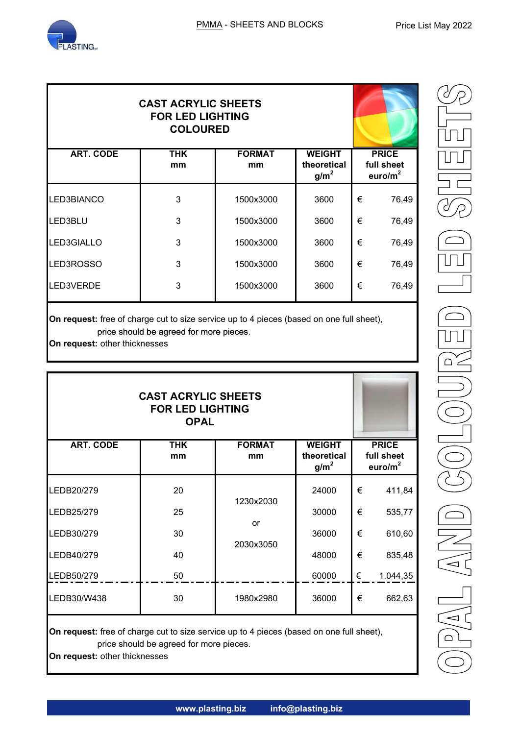

| <b>CAST ACRYLIC SHEETS</b> |                  |                     |                                                  |   |                                          |
|----------------------------|------------------|---------------------|--------------------------------------------------|---|------------------------------------------|
| <b>ART. CODE</b>           | <b>THK</b><br>mm | <b>FORMAT</b><br>mm | <b>WEIGHT</b><br>theoretical<br>g/m <sup>2</sup> |   | <b>PRICE</b><br>full sheet<br>euro/ $m2$ |
| LED3BIANCO                 | 3                | 1500x3000           | 3600                                             | € | 76,49                                    |
| LED3BLU                    | 3                | 1500x3000           | 3600                                             | € | 76,49                                    |
| LED3GIALLO                 | 3                | 1500x3000           | 3600                                             | € | 76,49                                    |
| LED3ROSSO                  | 3                | 1500x3000           | 3600                                             | € | 76,49                                    |
| LED3VERDE                  | 3                | 1500x3000           | 3600                                             | € | 76,49                                    |
|                            |                  |                     |                                                  |   |                                          |

**On request:** free of charge cut to size service up to 4 pieces (based on one full sheet), price should be agreed for more pieces.

**On request:** other thicknesses

| <b>CAST ACRYLIC SHEETS</b> |                  |                     |                                                  |   |                                          |
|----------------------------|------------------|---------------------|--------------------------------------------------|---|------------------------------------------|
| <b>ART. CODE</b>           | <b>THK</b><br>mm | <b>FORMAT</b><br>mm | <b>WEIGHT</b><br>theoretical<br>g/m <sup>2</sup> |   | <b>PRICE</b><br>full sheet<br>euro/ $m2$ |
| LEDB20/279                 | 20               | 1230x2030           | 24000                                            | € | 411,84                                   |
| LEDB25/279                 | 25               |                     | 30000                                            | € | 535,77                                   |
| LEDB30/279                 | 30               | or                  | 36000                                            | € | 610,60                                   |
| LEDB40/279                 | 40               | 2030x3050           | 48000                                            | € | 835,48                                   |
| LEDB50/279                 | 50               |                     | 60000                                            | € | 1.044,35                                 |
| LEDB30/W438                | 30               | 1980x2980           | 36000                                            | € | 662,63                                   |

**On request:** free of charge cut to size service up to 4 pieces (based on one full sheet), price should be agreed for more pieces.

**On request:** other thicknesses